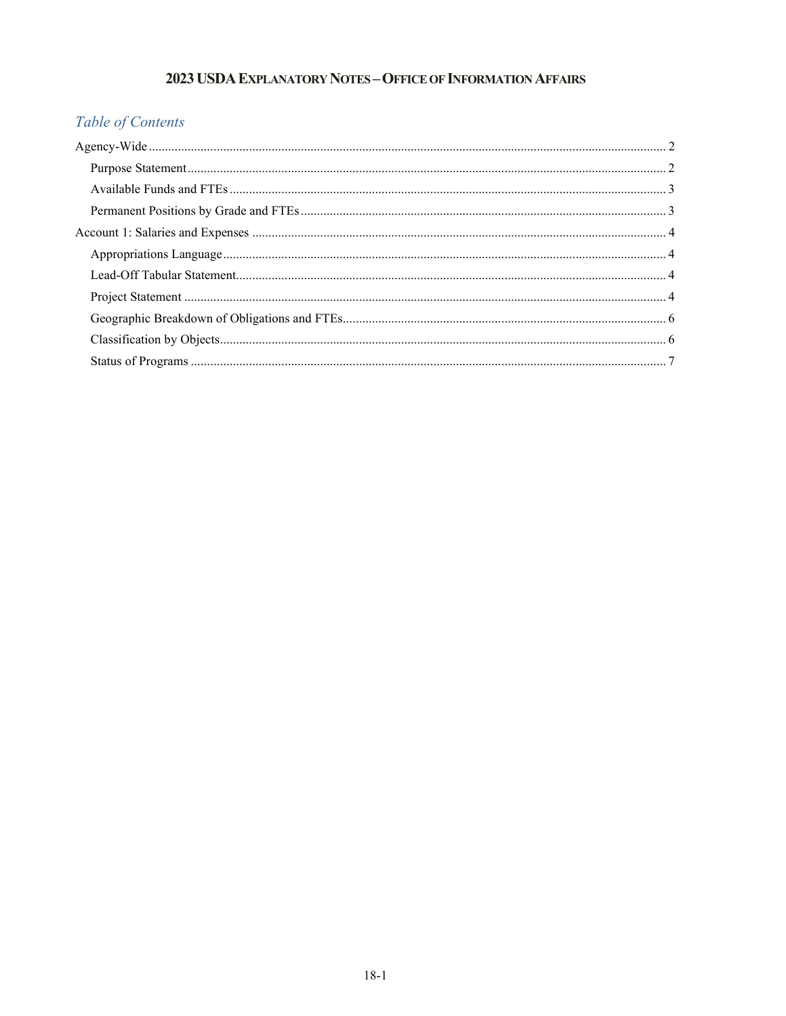# 2023 USDA EXPLANATORY NOTES - OFFICE OF INFORMATION AFFAIRS

# Table of Contents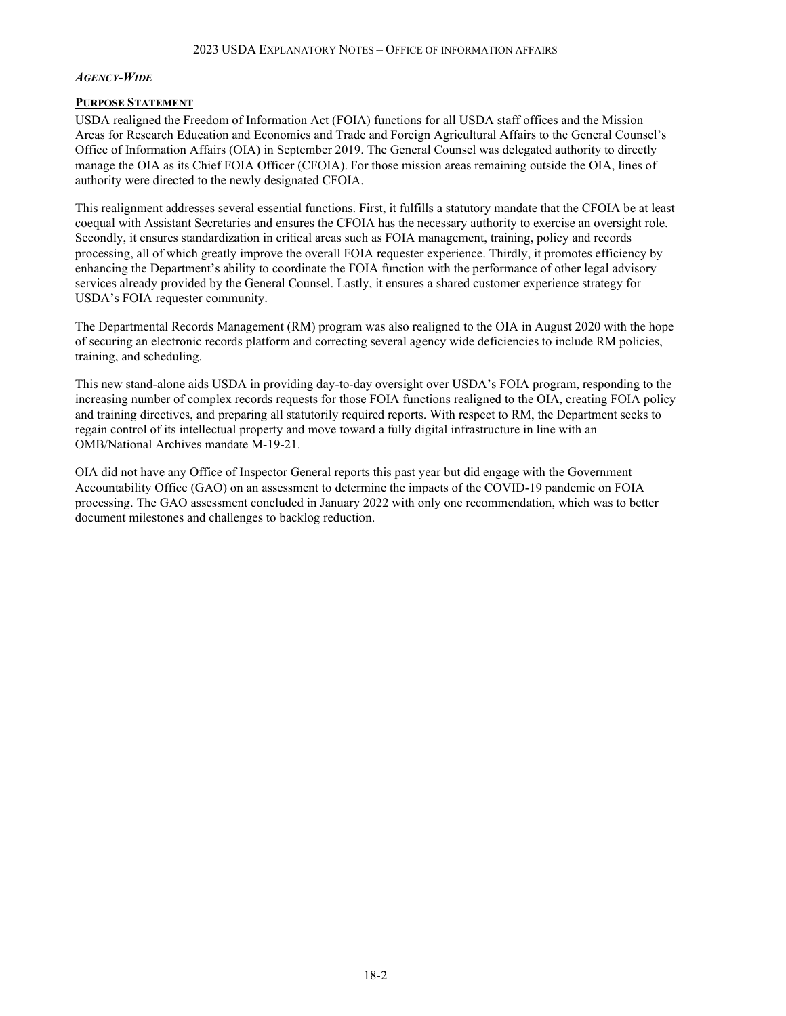#### <span id="page-1-0"></span>*AGENCY-WIDE*

#### <span id="page-1-1"></span>**PURPOSE STATEMENT**

USDA realigned the Freedom of Information Act (FOIA) functions for all USDA staff offices and the Mission Areas for Research Education and Economics and Trade and Foreign Agricultural Affairs to the General Counsel's Office of Information Affairs (OIA) in September 2019. The General Counsel was delegated authority to directly manage the OIA as its Chief FOIA Officer (CFOIA). For those mission areas remaining outside the OIA, lines of authority were directed to the newly designated CFOIA.

This realignment addresses several essential functions. First, it fulfills a statutory mandate that the CFOIA be at least coequal with Assistant Secretaries and ensures the CFOIA has the necessary authority to exercise an oversight role.  Secondly, it ensures standardization in critical areas such as FOIA management, training, policy and records processing, all of which greatly improve the overall FOIA requester experience. Thirdly, it promotes efficiency by enhancing the Department's ability to coordinate the FOIA function with the performance of other legal advisory services already provided by the General Counsel. Lastly, it ensures a shared customer experience strategy for USDA's FOIA requester community.

The Departmental Records Management (RM) program was also realigned to the OIA in August 2020 with the hope of securing an electronic records platform and correcting several agency wide deficiencies to include RM policies, training, and scheduling.

This new stand-alone aids USDA in providing day-to-day oversight over USDA's FOIA program, responding to the increasing number of complex records requests for those FOIA functions realigned to the OIA, creating FOIA policy and training directives, and preparing all statutorily required reports. With respect to RM, the Department seeks to regain control of its intellectual property and move toward a fully digital infrastructure in line with an OMB/National Archives mandate M-19-21.

OIA did not have any Office of Inspector General reports this past year but did engage with the Government Accountability Office (GAO) on an assessment to determine the impacts of the COVID-19 pandemic on FOIA processing. The GAO assessment concluded in January 2022 with only one recommendation, which was to better document milestones and challenges to backlog reduction.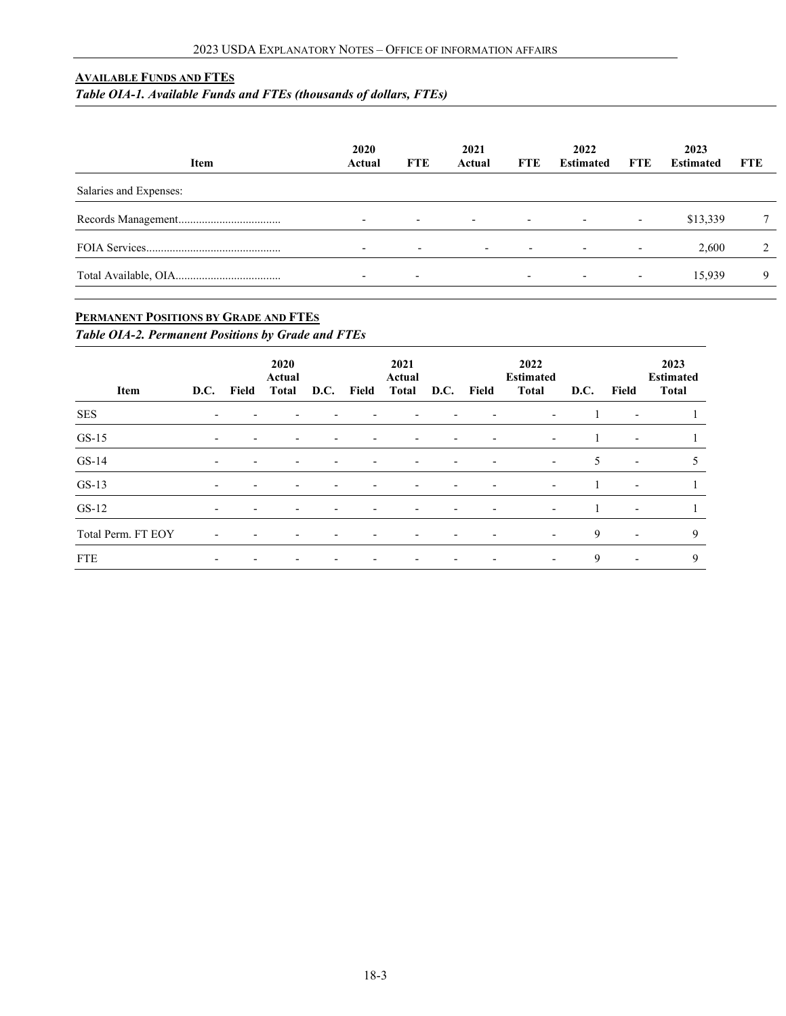# <span id="page-2-0"></span>**AVAILABLE FUNDS AND FTES**

*Table OIA-1. Available Funds and FTEs (thousands of dollars, FTEs)*

| Item                   | 2020<br>Actual           | <b>FTE</b>               | 2021<br>Actual           | <b>FTE</b>               | 2022<br><b>Estimated</b> | <b>FTE</b>               | 2023<br><b>Estimated</b> | <b>FTE</b> |
|------------------------|--------------------------|--------------------------|--------------------------|--------------------------|--------------------------|--------------------------|--------------------------|------------|
| Salaries and Expenses: |                          |                          |                          |                          |                          |                          |                          |            |
|                        | $\overline{\phantom{0}}$ | $\overline{\phantom{0}}$ | $\overline{\phantom{a}}$ | $\overline{\phantom{a}}$ | $\overline{\phantom{a}}$ | $\overline{\phantom{a}}$ | \$13,339                 |            |
|                        | $\overline{\phantom{a}}$ | $\overline{\phantom{a}}$ | $\overline{\phantom{0}}$ | $\overline{\phantom{a}}$ | $\sim$                   | $\overline{\phantom{a}}$ | 2.600                    |            |
|                        | $\overline{\phantom{0}}$ | $\overline{\phantom{a}}$ |                          |                          | $\overline{\phantom{a}}$ | $\overline{\phantom{a}}$ | 15.939                   | 9          |

# <span id="page-2-1"></span>**PERMANENT POSITIONS BY GRADE AND FTES**

*Table OIA-2. Permanent Positions by Grade and FTEs*

<span id="page-2-2"></span>

| Item               | <b>D.C.</b>              | Field                    | 2020<br>Actual<br>Total  | D.C.                     | Field                    | 2021<br>Actual<br><b>Total</b> |                          | D.C. Field               | 2022<br><b>Estimated</b><br><b>Total</b> | D.C. | Field                    | 2023<br><b>Estimated</b><br>Total |
|--------------------|--------------------------|--------------------------|--------------------------|--------------------------|--------------------------|--------------------------------|--------------------------|--------------------------|------------------------------------------|------|--------------------------|-----------------------------------|
| SES                | $\overline{\phantom{a}}$ | $\overline{\phantom{a}}$ |                          |                          | $\overline{\phantom{a}}$ | $\overline{\phantom{a}}$       | $\overline{\phantom{a}}$ | $\overline{\phantom{a}}$ | $\overline{\phantom{a}}$                 |      | $\overline{\phantom{a}}$ |                                   |
| $GS-15$            | $\overline{\phantom{a}}$ | $\overline{\phantom{0}}$ | $\overline{\phantom{0}}$ | -                        | $\overline{\phantom{a}}$ | $\overline{\phantom{a}}$       | $\overline{\phantom{a}}$ | $\blacksquare$           | $\overline{\phantom{a}}$                 |      | $\overline{\phantom{a}}$ |                                   |
| $GS-14$            | $\overline{\phantom{a}}$ | $\overline{\phantom{0}}$ | $\overline{\phantom{a}}$ | $\overline{\phantom{0}}$ | $\overline{\phantom{a}}$ | $\overline{\phantom{a}}$       | $\overline{\phantom{a}}$ | $\overline{\phantom{a}}$ | $\overline{\phantom{a}}$                 | 5    | $\overline{\phantom{a}}$ | ╮                                 |
| $GS-13$            | $\overline{\phantom{0}}$ | $\overline{\phantom{0}}$ | $\overline{\phantom{0}}$ | $\overline{\phantom{0}}$ | $\overline{\phantom{a}}$ | $\overline{\phantom{a}}$       | $\overline{\phantom{0}}$ | $\overline{\phantom{a}}$ | $\overline{\phantom{a}}$                 |      | $\overline{\phantom{a}}$ |                                   |
| $GS-12$            | $\overline{\phantom{0}}$ | $\overline{\phantom{0}}$ | $\overline{\phantom{a}}$ | $\overline{\phantom{a}}$ | $\overline{\phantom{a}}$ | $\overline{\phantom{a}}$       | $\overline{\phantom{a}}$ | $\overline{\phantom{a}}$ | $\overline{\phantom{a}}$                 |      | $\overline{\phantom{a}}$ |                                   |
| Total Perm. FT EOY | $\overline{\phantom{a}}$ |                          |                          |                          |                          | $\overline{\phantom{a}}$       |                          | $\overline{\phantom{a}}$ | $\overline{\phantom{a}}$                 | 9    | $\overline{\phantom{a}}$ | 9                                 |
| <b>FTE</b>         |                          |                          |                          |                          |                          | $\overline{\phantom{a}}$       |                          | $\overline{\phantom{a}}$ | $\overline{\phantom{a}}$                 | 9    | $\overline{\phantom{a}}$ | 9                                 |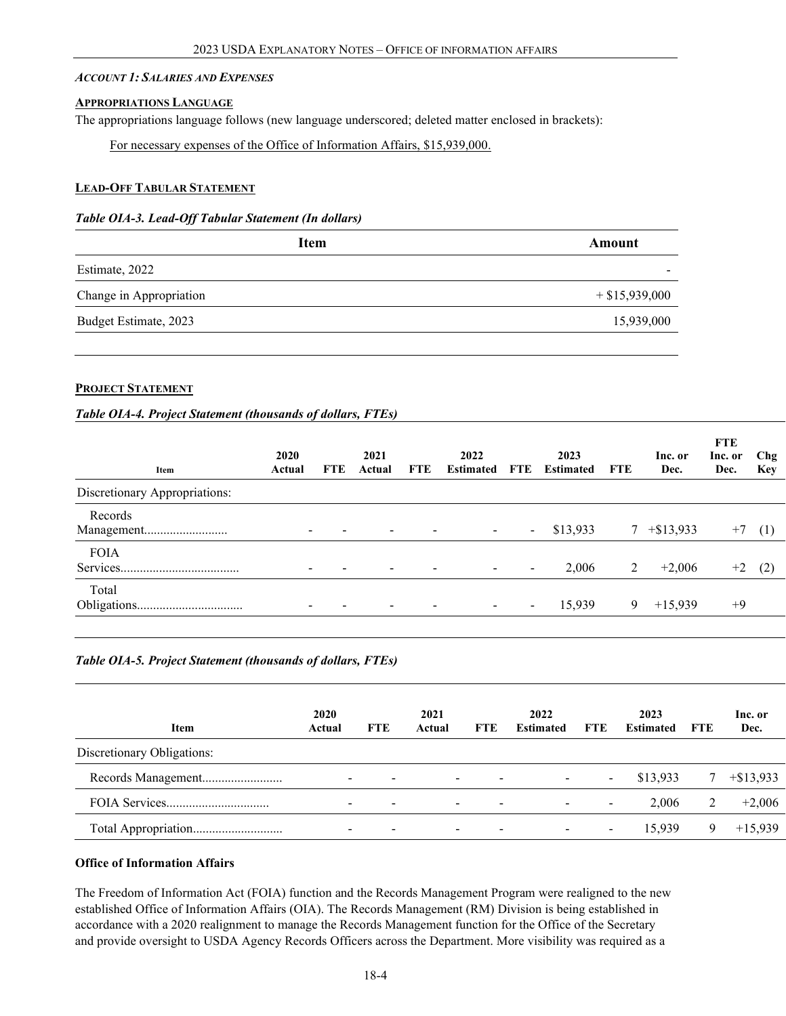#### *ACCOUNT 1: SALARIES AND EXPENSES*

#### <span id="page-3-0"></span>**APPROPRIATIONS LANGUAGE**

The appropriations language follows (new language underscored; deleted matter enclosed in brackets):

For necessary expenses of the Office of Information Affairs, \$15,939,000.

#### <span id="page-3-1"></span>**LEAD-OFF TABULAR STATEMENT**

#### *Table OIA-3. Lead-Off Tabular Statement (In dollars)*

<span id="page-3-2"></span>

| <b>Item</b>             | Amount           |
|-------------------------|------------------|
| Estimate, 2022          | ۰                |
| Change in Appropriation | $+$ \$15,939,000 |
| Budget Estimate, 2023   | 15,939,000       |
|                         |                  |

#### **PROJECT STATEMENT**

# *Table OIA-4. Project Statement (thousands of dollars, FTEs)*

| Item                          | 2020<br>Actual | FTE. | 2021<br>Actual           | FTE | 2022<br><b>Estimated</b> | FTE                      | 2023<br><b>Estimated</b> | FTE | Inc. or<br>Dec. | <b>FTE</b><br>Inc. or<br>Dec. | Chg<br><b>Key</b> |
|-------------------------------|----------------|------|--------------------------|-----|--------------------------|--------------------------|--------------------------|-----|-----------------|-------------------------------|-------------------|
| Discretionary Appropriations: |                |      |                          |     |                          |                          |                          |     |                 |                               |                   |
| Records<br>Management         |                |      |                          |     | $\overline{\phantom{a}}$ | $\blacksquare$           | \$13,933                 | 7   | $+$ \$13,933    | $^{+}$                        | (1)               |
| <b>FOIA</b>                   |                |      | $\overline{\phantom{a}}$ |     |                          | $\overline{\phantom{a}}$ | 2,006                    | 2   | $+2,006$        | $+2$                          | (2)               |
| Total                         |                |      | $\overline{\phantom{0}}$ |     | $\overline{\phantom{a}}$ | $\sim$                   | 15,939                   | 9   | $+15,939$       | $+9$                          |                   |

# *Table OIA-5. Project Statement (thousands of dollars, FTEs)*

| <b>Item</b>                | 2020<br>Actual           | FTE                      | 2021<br>Actual | <b>FTE</b>               | 2022<br><b>Estimated</b> | <b>FTE</b>               | 2023<br><b>Estimated</b> | FTE | Inc. or<br>Dec. |
|----------------------------|--------------------------|--------------------------|----------------|--------------------------|--------------------------|--------------------------|--------------------------|-----|-----------------|
| Discretionary Obligations: |                          |                          |                |                          |                          |                          |                          |     |                 |
| Records Management         | $\overline{\phantom{0}}$ | $\overline{\phantom{0}}$ | $\sim$         | $\,$                     | ۰.                       | $\blacksquare$           | \$13,933                 |     | $+$ \$13,933    |
|                            |                          | $\overline{\phantom{0}}$ | $\sim$         | $\overline{\phantom{0}}$ | $\blacksquare$           | $\overline{\phantom{a}}$ | 2.006                    |     | $+2.006$        |
| Total Appropriation        | $\overline{\phantom{0}}$ | $\,$                     | $\sim$         | $\overline{\phantom{a}}$ | $\overline{\phantom{0}}$ | $\blacksquare$           | 15.939                   |     | $+15.939$       |

#### **Office of Information Affairs**

The Freedom of Information Act (FOIA) function and the Records Management Program were realigned to the new established Office of Information Affairs (OIA). The Records Management (RM) Division is being established in accordance with a 2020 realignment to manage the Records Management function for the Office of the Secretary and provide oversight to USDA Agency Records Officers across the Department. More visibility was required as a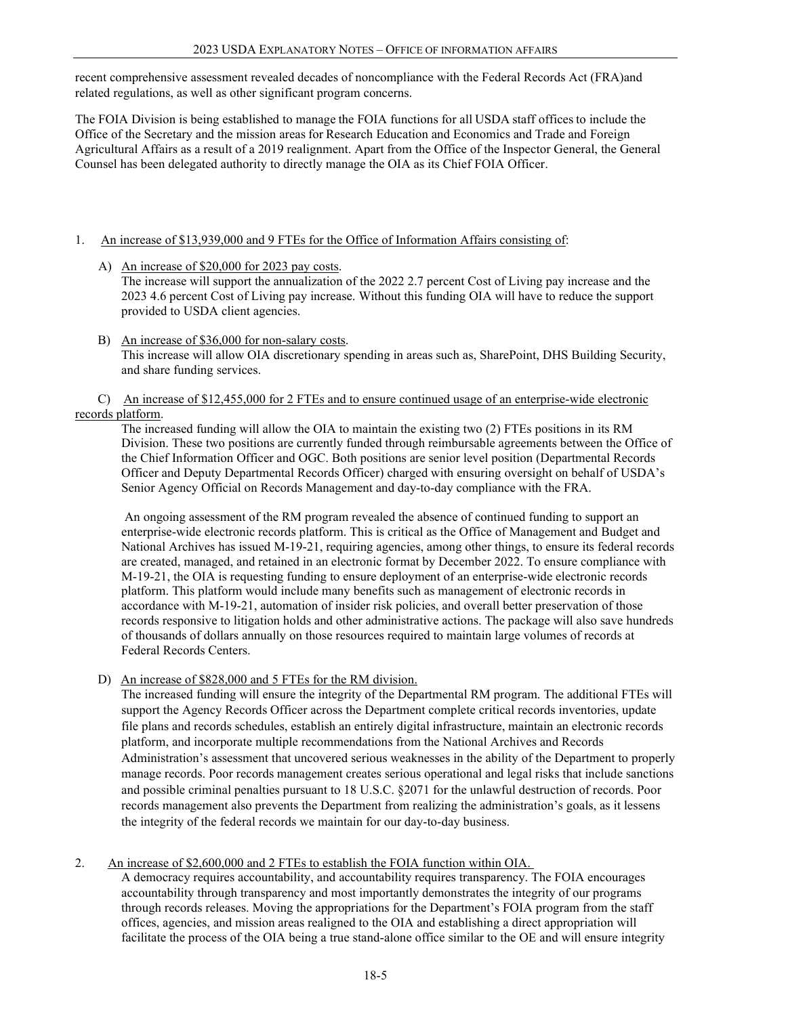recent comprehensive assessment revealed decades of noncompliance with the Federal Records Act (FRA)and related regulations, as well as other significant program concerns.

The FOIA Division is being established to manage the FOIA functions for all USDA staff offices to include the Office of the Secretary and the mission areas for Research Education and Economics and Trade and Foreign Agricultural Affairs as a result of a 2019 realignment. Apart from the Office of the Inspector General, the General Counsel has been delegated authority to directly manage the OIA as its Chief FOIA Officer.

# 1. An increase of \$13,939,000 and 9 FTEs for the Office of Information Affairs consisting of:

- A) An increase of \$20,000 for 2023 pay costs. The increase will support the annualization of the 2022 2.7 percent Cost of Living pay increase and the 2023 4.6 percent Cost of Living pay increase. Without this funding OIA will have to reduce the support provided to USDA client agencies.
- B) An increase of \$36,000 for non-salary costs. This increase will allow OIA discretionary spending in areas such as, SharePoint, DHS Building Security, and share funding services.

# C) An increase of \$12,455,000 for 2 FTEs and to ensure continued usage of an enterprise-wide electronic records platform.

The increased funding will allow the OIA to maintain the existing two (2) FTEs positions in its RM Division. These two positions are currently funded through reimbursable agreements between the Office of the Chief Information Officer and OGC. Both positions are senior level position (Departmental Records Officer and Deputy Departmental Records Officer) charged with ensuring oversight on behalf of USDA's Senior Agency Official on Records Management and day-to-day compliance with the FRA.

An ongoing assessment of the RM program revealed the absence of continued funding to support an enterprise-wide electronic records platform. This is critical as the Office of Management and Budget and National Archives has issued M-19-21, requiring agencies, among other things, to ensure its federal records are created, managed, and retained in an electronic format by December 2022. To ensure compliance with M-19-21, the OIA is requesting funding to ensure deployment of an enterprise-wide electronic records platform. This platform would include many benefits such as management of electronic records in accordance with M-19-21, automation of insider risk policies, and overall better preservation of those records responsive to litigation holds and other administrative actions. The package will also save hundreds of thousands of dollars annually on those resources required to maintain large volumes of records at Federal Records Centers.

D) An increase of \$828,000 and 5 FTEs for the RM division.

The increased funding will ensure the integrity of the Departmental RM program. The additional FTEs will support the Agency Records Officer across the Department complete critical records inventories, update file plans and records schedules, establish an entirely digital infrastructure, maintain an electronic records platform, and incorporate multiple recommendations from the National Archives and Records Administration's assessment that uncovered serious weaknesses in the ability of the Department to properly manage records. Poor records management creates serious operational and legal risks that include sanctions and possible criminal penalties pursuant to 18 U.S.C. §2071 for the unlawful destruction of records. Poor records management also prevents the Department from realizing the administration's goals, as it lessens the integrity of the federal records we maintain for our day-to-day business.

2. An increase of \$2,600,000 and 2 FTEs to establish the FOIA function within OIA.

A democracy requires accountability, and accountability requires transparency. The FOIA encourages accountability through transparency and most importantly demonstrates the integrity of our programs through records releases. Moving the appropriations for the Department's FOIA program from the staff offices, agencies, and mission areas realigned to the OIA and establishing a direct appropriation will facilitate the process of the OIA being a true stand-alone office similar to the OE and will ensure integrity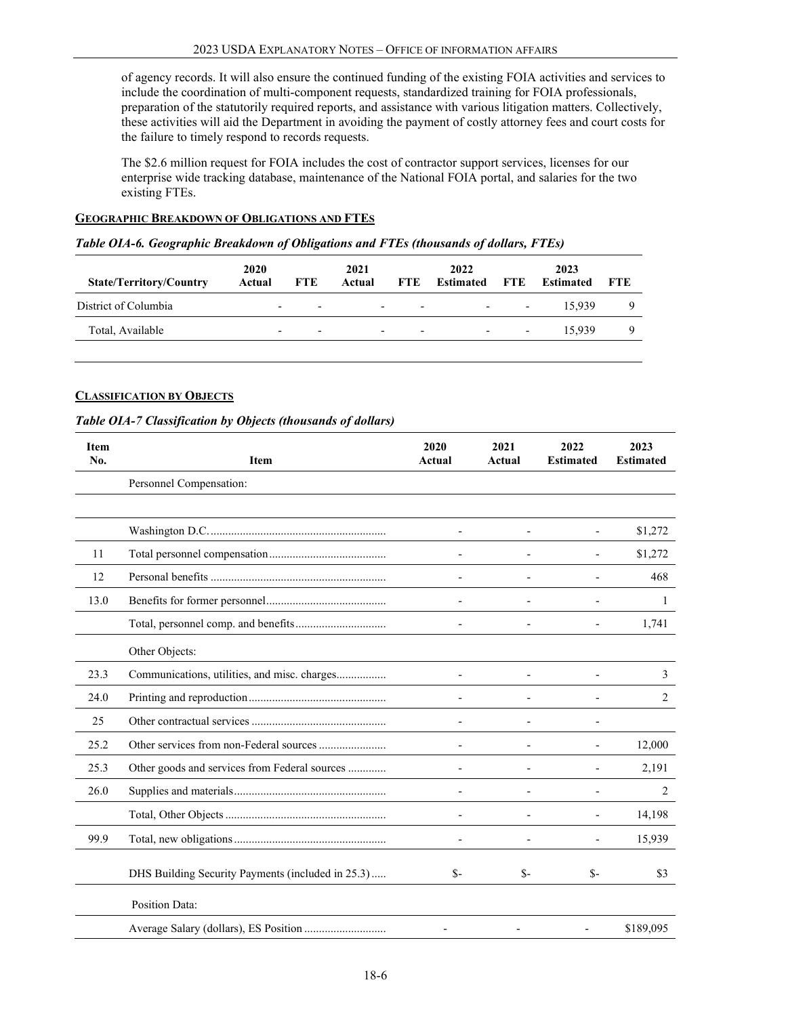of agency records. It will also ensure the continued funding of the existing FOIA activities and services to include the coordination of multi-component requests, standardized training for FOIA professionals, preparation of the statutorily required reports, and assistance with various litigation matters. Collectively, these activities will aid the Department in avoiding the payment of costly attorney fees and court costs for the failure to timely respond to records requests.

<span id="page-5-0"></span>The \$2.6 million request for FOIA includes the cost of contractor support services, licenses for our enterprise wide tracking database, maintenance of the National FOIA portal, and salaries for the two existing FTEs.

# **GEOGRAPHIC BREAKDOWN OF OBLIGATIONS AND FTES**

#### *Table OIA-6. Geographic Breakdown of Obligations and FTEs (thousands of dollars, FTEs)*

<span id="page-5-1"></span>

| <b>State/Territory/Country</b> | <b>2020</b><br>Actual    | <b>FTE</b>               | 2021<br>Actual | FTE                                                 | 2022<br><b>Estimated</b> | FTE                               | 2023<br><b>Estimated</b> | <b>FTE</b> |
|--------------------------------|--------------------------|--------------------------|----------------|-----------------------------------------------------|--------------------------|-----------------------------------|--------------------------|------------|
| District of Columbia           | $\overline{\phantom{0}}$ | $\overline{\phantom{0}}$ |                | <b>Service Contract</b><br>$\overline{\phantom{0}}$ |                          | the company's company's company's | 15.939                   |            |
| Total, Available               | $\overline{\phantom{0}}$ | $\overline{\phantom{0}}$ | $\sim$         | $\overline{\phantom{0}}$                            | $\overline{\phantom{a}}$ | $\overline{\phantom{0}}$          | 15.939                   | Q          |
|                                |                          |                          |                |                                                     |                          |                                   |                          |            |

# **CLASSIFICATION BY OBJECTS**

#### *Table OIA-7 Classification by Objects (thousands of dollars)*

| <b>Item</b><br>No. | <b>Item</b>                                       | 2020<br>Actual | 2021<br>Actual           | 2022<br><b>Estimated</b> | 2023<br><b>Estimated</b> |
|--------------------|---------------------------------------------------|----------------|--------------------------|--------------------------|--------------------------|
|                    | Personnel Compensation:                           |                |                          |                          |                          |
|                    |                                                   |                |                          |                          |                          |
|                    |                                                   |                |                          |                          | \$1,272                  |
| 11                 |                                                   |                |                          |                          | \$1,272                  |
| 12                 |                                                   |                |                          |                          | 468                      |
| 13.0               |                                                   |                |                          |                          | 1                        |
|                    |                                                   |                | $\overline{\phantom{m}}$ | $\overline{\phantom{0}}$ | 1,741                    |
|                    | Other Objects:                                    |                |                          |                          |                          |
| 23.3               | Communications, utilities, and misc. charges      |                |                          |                          | 3                        |
| 24.0               |                                                   |                |                          |                          | 2                        |
| 25                 |                                                   |                |                          |                          |                          |
| 25.2               | Other services from non-Federal sources           |                |                          |                          | 12,000                   |
| 25.3               | Other goods and services from Federal sources     |                |                          |                          | 2,191                    |
| 26.0               |                                                   |                |                          |                          | 2                        |
|                    |                                                   |                | $\overline{a}$           | $\overline{\phantom{0}}$ | 14,198                   |
| 99.9               |                                                   |                | $\overline{a}$           |                          | 15,939                   |
|                    | DHS Building Security Payments (included in 25.3) | $S-$           | $S-$                     | $S-$                     | \$3                      |
|                    | Position Data:                                    |                |                          |                          |                          |
|                    |                                                   |                |                          |                          | \$189,095                |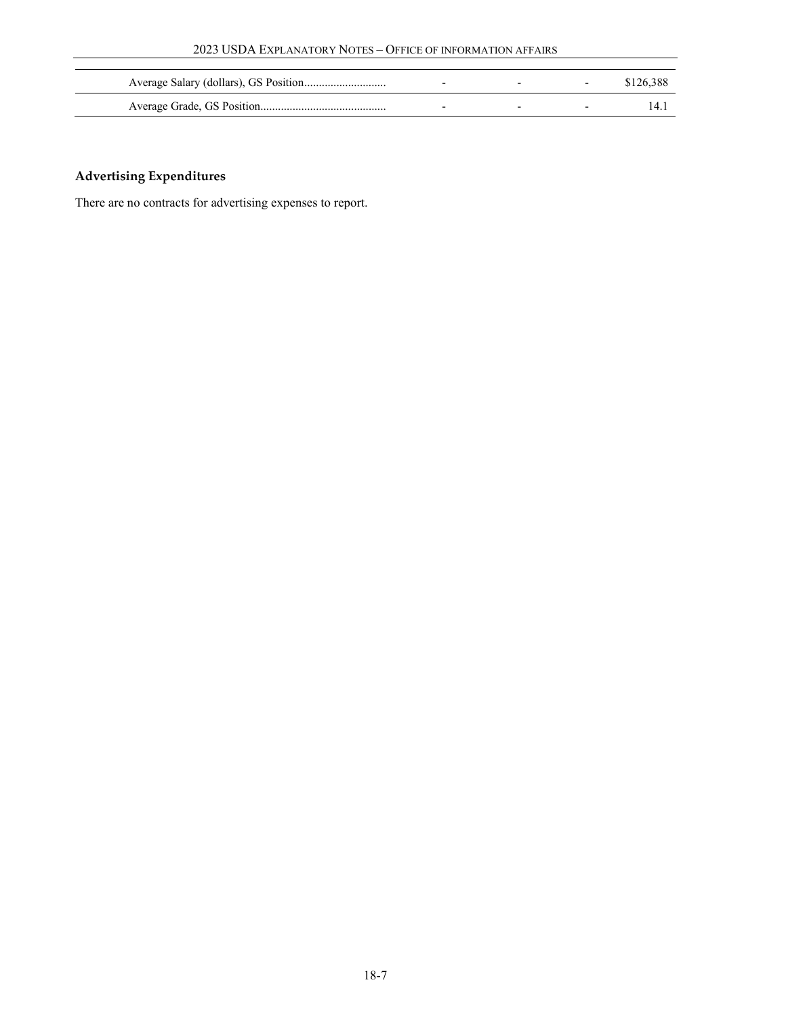|  |                          | \$126,388 |
|--|--------------------------|-----------|
|  | $\overline{\phantom{0}}$ | 14.       |

# **Advertising Expenditures**

There are no contracts for advertising expenses to report.